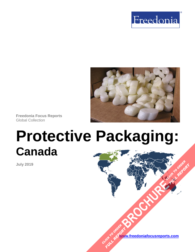



**Freedonia Focus Reports** Global Collection

# **Protective Packaging: Canada**

**July 2019**

**[www.freedoniafocusreports.com](https://www.freedoniafocusreports.com/redirect.asp?progid=89534&url=/)** CLICK TO ORDER **FULL REPORT** 

**[BROCHURE](https://www.freedoniafocusreports.com/Protective-Packaging-Canada-FA30020/?progid=89541) CLICK TO ORDER** 

**FULL REPORT**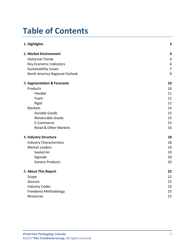# **Table of Contents**

| 1. Highlights                     | $\overline{\mathbf{3}}$ |
|-----------------------------------|-------------------------|
| 2. Market Environment             | $\overline{\mathbf{4}}$ |
| <b>Historical Trends</b>          | $\overline{4}$          |
| Key Economic Indicators           | $6\,$                   |
| <b>Sustainability Issues</b>      | $\overline{7}$          |
| North America Regional Outlook    | 9                       |
| 3. Segmentation & Forecasts       | 10                      |
| Products                          | 10                      |
| Flexible                          | 11                      |
| Foam                              | 11                      |
| Rigid                             | 12                      |
| Markets                           | 14                      |
| <b>Durable Goods</b>              | 15                      |
| Nondurable Goods                  | 15                      |
| E-Commerce                        | 15                      |
| <b>Retail &amp; Other Markets</b> | 16                      |
| 4. Industry Structure             | 18                      |
| <b>Industry Characteristics</b>   | 18                      |
| <b>Market Leaders</b>             | 19                      |
| Sealed Air                        | 19                      |
| Signode                           | 20                      |
| Sonoco Products                   | 20                      |
| 5. About This Report              | 22                      |
| Scope                             | 22                      |
| Sources                           | 22                      |
| <b>Industry Codes</b>             | 23                      |
| Freedonia Methodology             | 23                      |
| Resources                         | 25                      |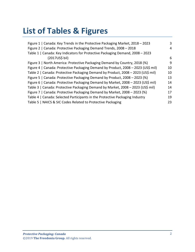# **List of Tables & Figures**

| Figure 1   Canada: Key Trends in the Protective Packaging Market, 2018 - 2023     | 3  |
|-----------------------------------------------------------------------------------|----|
| Figure 2   Canada: Protective Packaging Demand Trends, 2008 - 2018                | 4  |
| Table 1   Canada: Key Indicators for Protective Packaging Demand, 2008 - 2023     |    |
| (2017US\$ bil)                                                                    | 6  |
| Figure 3   North America: Protective Packaging Demand by Country, 2018 (%)        | 9  |
| Figure 4   Canada: Protective Packaging Demand by Product, 2008 - 2023 (US\$ mil) | 10 |
| Table 2   Canada: Protective Packaging Demand by Product, 2008 - 2023 (US\$ mil)  | 10 |
| Figure 5   Canada: Protective Packaging Demand by Product, 2008 - 2023 (%)        | 13 |
| Figure 6   Canada: Protective Packaging Demand by Market, 2008 - 2023 (US\$ mil)  | 14 |
| Table 3   Canada: Protective Packaging Demand by Market, 2008 - 2023 (US\$ mil)   | 14 |
| Figure 7   Canada: Protective Packaging Demand by Market, 2008 – 2023 (%)         | 17 |
| Table 4   Canada: Selected Participants in the Protective Packaging Industry      | 19 |
| Table 5   NAICS & SIC Codes Related to Protective Packaging                       | 23 |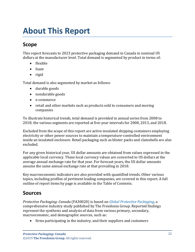# <span id="page-3-1"></span><span id="page-3-0"></span>**Scope**

This report forecasts to 2023 protective packaging demand in Canada in nominal US dollars at the manufacturer level. Total demand is segmented by product in terms of:

- flexible
- foam
- rigid

Total demand is also segmented by market as follows:

- durable goods
- nondurable goods
- e-commerce
- retail and other markets such as products sold to consumers and moving companies

To illustrate historical trends, total demand is provided in annual series from 2008 to 2018; the various segments are reported at five-year intervals for 2008, 2013, and 2018.

Excluded from the scope of this report are active insulated shipping containers employing electricity or other power sources to maintain a temperature-controlled environment inside an insulated enclosure. Retail packaging such as blister packs and clamshells are also excluded.

For any given historical year, US dollar amounts are obtained from values expressed in the applicable local currency. These local currency values are converted to US dollars at the average annual exchange rate for that year. For forecast years, the US dollar amounts assume the same annual exchange rate at that prevailing in 2018.

Key macroeconomic indicators are also provided with quantified trends. Other various topics, including profiles of pertinent leading companies, are covered in this report. A full outline of report items by page is available in the Table of Contents.

## <span id="page-3-2"></span>**Sources**

*Protective Packaging: Canada* (FA30020) is based on *[Global Protective Packaging,](http://www.freedoniagroup.com/DocumentDetails.aspx?ReferrerId=FL-FOCUS&studyid=3741)* a comprehensive industry study published by The Freedonia Group. Reported findings represent the synthesis and analysis of data from various primary, secondary, macroeconomic, and demographic sources, such as:

• firms participating in the industry, and their suppliers and customers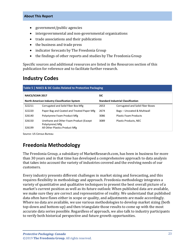- government/public agencies
- intergovernmental and non-governmental organizations
- trade associations and their publications
- the business and trade press
- indicator forecasts by The Freedonia Group
- the findings of other reports and studies by The Freedonia Group

Specific sources and additional resources are listed in the Resources section of this publication for reference and to facilitate further research.

## <span id="page-4-0"></span>**Industry Codes**

<span id="page-4-2"></span>

| Table 5   NAICS & SIC Codes Related to Protective Packaging |                                                                                                |                                           |                                  |  |
|-------------------------------------------------------------|------------------------------------------------------------------------------------------------|-------------------------------------------|----------------------------------|--|
| <b>NAICS/SCIAN 2017</b>                                     |                                                                                                | <b>SIC</b>                                |                                  |  |
|                                                             | <b>North American Industry Classification System</b>                                           | <b>Standard Industrial Classification</b> |                                  |  |
| 322211                                                      | Corrugated and Solid Fiber Box Mfg                                                             | 2653                                      | Corrugated and Solid Fiber Boxes |  |
| 322220                                                      | Paper Bag and Coated and Treated Paper Mfg                                                     | 2674                                      | Bags - Uncoated & Multiwall      |  |
| 326140                                                      | Polystyrene Foam Product Mfg                                                                   | 3086                                      | <b>Plastic Foam Products</b>     |  |
| 326150<br>326199                                            | Urethane and Other Foam Product (Except)<br>Polystyrene) Mfg<br>All Other Plastics Product Mfg | 3089                                      | <b>Plastic Products, NEC</b>     |  |

Source: US Census Bureau

## <span id="page-4-1"></span>**Freedonia Methodology**

The Freedonia Group, a subsidiary of MarketResearch.com, has been in business for more than 30 years and in that time has developed a comprehensive approach to data analysis that takes into account the variety of industries covered and the evolving needs of our customers.

Every industry presents different challenges in market sizing and forecasting, and this requires flexibility in methodology and approach. Freedonia methodology integrates a variety of quantitative and qualitative techniques to present the best overall picture of a market's current position as well as its future outlook: When published data are available, we make sure they are correct and representative of reality. We understand that published data often have flaws either in scope or quality, and adjustments are made accordingly. Where no data are available, we use various methodologies to develop market sizing (both top-down and bottom-up) and then triangulate those results to come up with the most accurate data series possible. Regardless of approach, we also talk to industry participants to verify both historical perspective and future growth opportunities.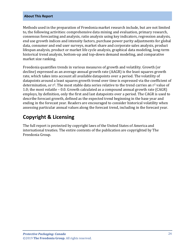Methods used in the preparation of Freedonia market research include, but are not limited to, the following activities: comprehensive data mining and evaluation, primary research, consensus forecasting and analysis, ratio analysis using key indicators, regression analysis, end use growth indices and intensity factors, purchase power parity adjustments for global data, consumer and end user surveys, market share and corporate sales analysis, product lifespan analysis, product or market life cycle analysis, graphical data modeling, long-term historical trend analysis, bottom-up and top-down demand modeling, and comparative market size ranking.

Freedonia quantifies trends in various measures of growth and volatility. Growth (or decline) expressed as an average annual growth rate (AAGR) is the least squares growth rate, which takes into account all available datapoints over a period. The volatility of datapoints around a least squares growth trend over time is expressed via the coefficient of determination, or  $r^2$ . The most stable data series relative to the trend carries an  $r^2$  value of 1.0; the most volatile – 0.0. Growth calculated as a compound annual growth rate (CAGR) employs, by definition, only the first and last datapoints over a period. The CAGR is used to describe forecast growth, defined as the expected trend beginning in the base year and ending in the forecast year. Readers are encouraged to consider historical volatility when assessing particular annual values along the forecast trend, including in the forecast year.

## **Copyright & Licensing**

The full report is protected by copyright laws of the United States of America and international treaties. The entire contents of the publication are copyrighted by The Freedonia Group.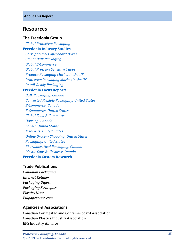#### <span id="page-6-0"></span>**Resources**

#### **The Freedonia Group**

 *[Global Protective Packaging](http://www.freedoniagroup.com/DocumentDetails.aspx?ReferrerId=FL-FOCUS&studyid=3741)* **[Freedonia Industry Studies](http://www.freedoniagroup.com/Home.aspx?ReferrerId=FL-Focus)**

 *[Corrugated & Paperboard Boxes](http://www.freedoniagroup.com/DocumentDetails.aspx?ReferrerId=FL-FOCUS&studyid=3686) [Global Bulk Packaging](http://www.freedoniagroup.com/DocumentDetails.aspx?ReferrerId=FL-FOCUS&studyid=3612) [Global E-Commerce](http://www.freedoniagroup.com/DocumentDetails.aspx?ReferrerId=FL-FOCUS&studyid=3724) [Global Pressure Sensitive Tapes](http://www.freedoniagroup.com/DocumentDetails.aspx?ReferrerId=FL-FOCUS&studyid=3685) [Produce Packaging Market in the US](http://www.freedoniagroup.com/DocumentDetails.aspx?ReferrerId=FL-FOCUS&studyid=3632) [Protective Packaging Market in the US](http://www.freedoniagroup.com/DocumentDetails.aspx?ReferrerId=FL-FOCUS&studyid=3544) [Retail-Ready Packaging](http://www.freedoniagroup.com/DocumentDetails.aspx?ReferrerId=FL-FOCUS&studyid=3713)*

#### **[Freedonia Focus Reports](https://www.freedoniafocusreports.com/redirect.asp?progid=89534&url=/)**

 *[Bulk Packaging: Canada](https://www.freedoniafocusreports.com/Bulk-Packaging-Canada-FA30052/?progid=89534) [Converted Flexible Packaging: United States](https://www.freedoniafocusreports.com/Converted-Flexible-Packaging-United-States-FF30014/?progid=89534) [E-Commerce: Canada](https://www.freedoniafocusreports.com/E-Commerce-Canada-FA90043/?progid=89534) [E-Commerce: United States](https://www.freedoniafocusreports.com/E-Commerce-United-States-FF90043/?progid=89534) [Global Food E-Commerce](https://www.freedoniafocusreports.com/Global-Food-E-Commerce-FW10063/?progid=89534) [Housing: Canada](https://www.freedoniafocusreports.com/Housing-Canada-FA60024/?progid=89534) [Labels: United States](https://www.freedoniafocusreports.com/Labels-United-States-FF30023/?progid=89534) [Meal Kits: United States](https://www.freedoniafocusreports.com/Meal-Kits-United-States-FF10060/?progid=89534) [Online Grocery Shopping: United States](https://www.freedoniafocusreports.com/Online-Grocery-Shopping-United-States-FF90054/?progid=89534) [Packaging: United States](https://www.freedoniafocusreports.com/Packaging-United-States-FF30035/?progid=89534) [Pharmaceutical Packaging: Canada](https://www.freedoniafocusreports.com/Pharmaceutical-Packaging-Canada-FA30018/?progid=89534) [Plastic Caps & Closures: Canada](https://www.freedoniafocusreports.com/Plastic-Caps-Closures-Canada-FA30066/?progid=89534)* **[Freedonia Custom Research](http://www.freedoniagroup.com/CustomResearch.aspx?ReferrerId=FL-Focus)**

#### **Trade Publications**

*Canadian Packaging Internet Retailer Packaging Digest Packaging Strategies Plastics News Pulpapernews.com*

#### **Agencies & Associations**

Canadian Corrugated and Containerboard Association Canadian Plastics Industry Association EPS Industry Alliance